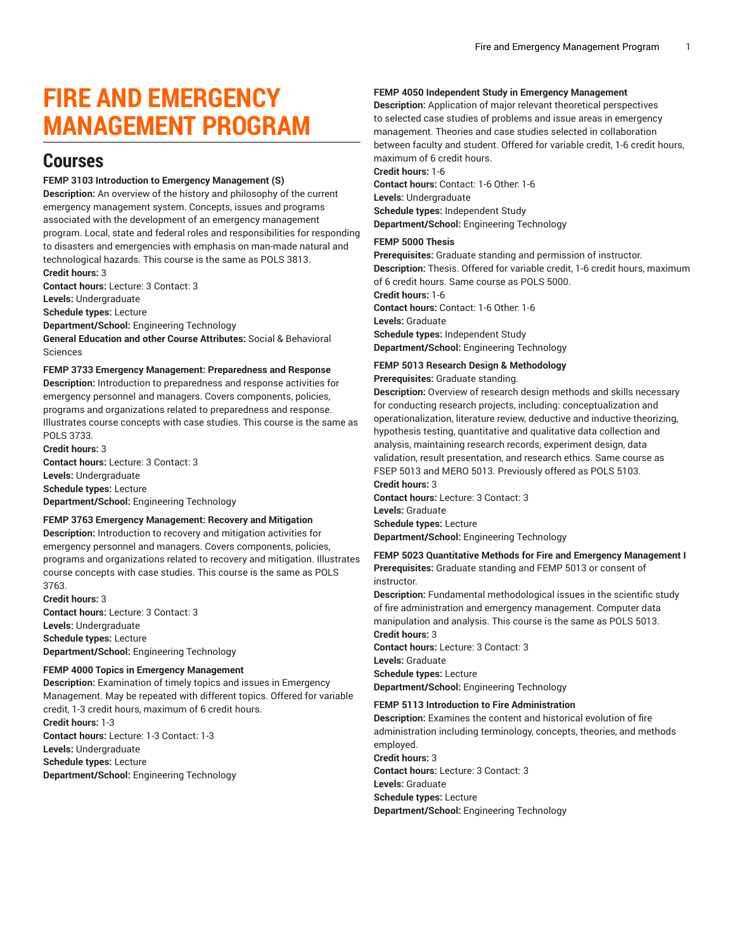# **FIRE AND EMERGENCY MANAGEMENT PROGRAM**

# **Courses**

# **FEMP 3103 Introduction to Emergency Management (S)**

**Description:** An overview of the history and philosophy of the current emergency management system. Concepts, issues and programs associated with the development of an emergency management program. Local, state and federal roles and responsibilities for responding to disasters and emergencies with emphasis on man-made natural and technological hazards. This course is the same as POLS 3813. **Credit hours:** 3

**Contact hours:** Lecture: 3 Contact: 3

**Levels:** Undergraduate

**Schedule types:** Lecture

**Department/School:** Engineering Technology

**General Education and other Course Attributes:** Social & Behavioral Sciences

#### **FEMP 3733 Emergency Management: Preparedness and Response**

**Description:** Introduction to preparedness and response activities for emergency personnel and managers. Covers components, policies, programs and organizations related to preparedness and response. Illustrates course concepts with case studies. This course is the same as POLS 3733.

**Credit hours:** 3 **Contact hours:** Lecture: 3 Contact: 3 **Levels:** Undergraduate **Schedule types:** Lecture **Department/School:** Engineering Technology

# **FEMP 3763 Emergency Management: Recovery and Mitigation**

**Description:** Introduction to recovery and mitigation activities for emergency personnel and managers. Covers components, policies, programs and organizations related to recovery and mitigation. Illustrates course concepts with case studies. This course is the same as POLS 3763.

**Credit hours:** 3 **Contact hours:** Lecture: 3 Contact: 3 **Levels:** Undergraduate **Schedule types:** Lecture **Department/School:** Engineering Technology

#### **FEMP 4000 Topics in Emergency Management**

**Description:** Examination of timely topics and issues in Emergency Management. May be repeated with different topics. Offered for variable credit, 1-3 credit hours, maximum of 6 credit hours. **Credit hours:** 1-3 **Contact hours:** Lecture: 1-3 Contact: 1-3 **Levels:** Undergraduate **Schedule types:** Lecture **Department/School:** Engineering Technology

# **FEMP 4050 Independent Study in Emergency Management**

**Description:** Application of major relevant theoretical perspectives to selected case studies of problems and issue areas in emergency management. Theories and case studies selected in collaboration between faculty and student. Offered for variable credit, 1-6 credit hours, maximum of 6 credit hours. **Credit hours:** 1-6

**Contact hours:** Contact: 1-6 Other: 1-6 **Levels:** Undergraduate **Schedule types:** Independent Study **Department/School:** Engineering Technology

#### **FEMP 5000 Thesis**

**Prerequisites:** Graduate standing and permission of instructor. **Description:** Thesis. Offered for variable credit, 1-6 credit hours, maximum of 6 credit hours. Same course as POLS 5000. **Credit hours:** 1-6 **Contact hours:** Contact: 1-6 Other: 1-6 **Levels:** Graduate **Schedule types:** Independent Study **Department/School:** Engineering Technology

#### **FEMP 5013 Research Design & Methodology**

**Prerequisites:** Graduate standing.

**Description:** Overview of research design methods and skills necessary for conducting research projects, including: conceptualization and operationalization, literature review, deductive and inductive theorizing, hypothesis testing, quantitative and qualitative data collection and analysis, maintaining research records, experiment design, data validation, result presentation, and research ethics. Same course as FSEP 5013 and MERO 5013. Previously offered as POLS 5103. **Credit hours:** 3

**Contact hours:** Lecture: 3 Contact: 3 **Levels:** Graduate **Schedule types:** Lecture **Department/School:** Engineering Technology

# **FEMP 5023 Quantitative Methods for Fire and Emergency Management I**

**Prerequisites:** Graduate standing and FEMP 5013 or consent of instructor.

**Description:** Fundamental methodological issues in the scientific study of fire administration and emergency management. Computer data manipulation and analysis. This course is the same as POLS 5013. **Credit hours:** 3 **Contact hours:** Lecture: 3 Contact: 3

**Levels:** Graduate **Schedule types:** Lecture **Department/School:** Engineering Technology

# **FEMP 5113 Introduction to Fire Administration**

**Description:** Examines the content and historical evolution of fire administration including terminology, concepts, theories, and methods employed. **Credit hours:** 3

**Contact hours:** Lecture: 3 Contact: 3 **Levels:** Graduate **Schedule types:** Lecture **Department/School:** Engineering Technology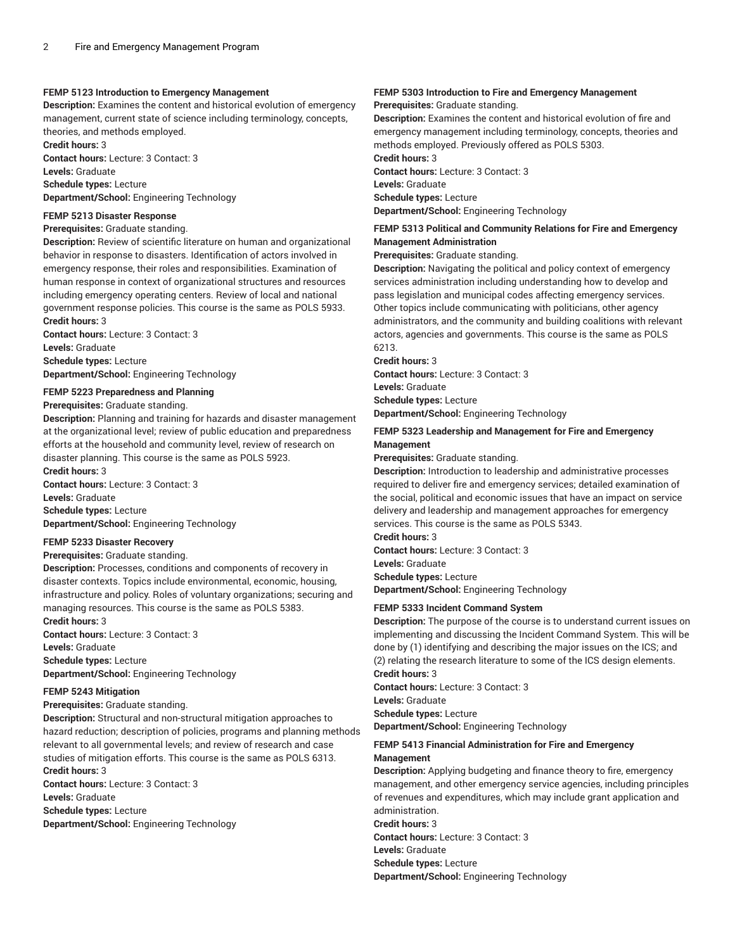# **FEMP 5123 Introduction to Emergency Management**

**Description:** Examines the content and historical evolution of emergency management, current state of science including terminology, concepts, theories, and methods employed.

**Credit hours:** 3 **Contact hours:** Lecture: 3 Contact: 3 **Levels:** Graduate **Schedule types:** Lecture

**Department/School:** Engineering Technology

# **FEMP 5213 Disaster Response**

# **Prerequisites:** Graduate standing.

**Description:** Review of scientific literature on human and organizational behavior in response to disasters. Identification of actors involved in emergency response, their roles and responsibilities. Examination of human response in context of organizational structures and resources including emergency operating centers. Review of local and national government response policies. This course is the same as POLS 5933. **Credit hours:** 3

**Contact hours:** Lecture: 3 Contact: 3 **Levels:** Graduate **Schedule types:** Lecture **Department/School:** Engineering Technology

**FEMP 5223 Preparedness and Planning**

# **Prerequisites:** Graduate standing.

**Description:** Planning and training for hazards and disaster management at the organizational level; review of public education and preparedness efforts at the household and community level, review of research on disaster planning. This course is the same as POLS 5923.

**Credit hours:** 3

**Contact hours:** Lecture: 3 Contact: 3 **Levels:** Graduate

**Schedule types:** Lecture **Department/School:** Engineering Technology

#### **FEMP 5233 Disaster Recovery**

#### **Prerequisites:** Graduate standing.

**Description:** Processes, conditions and components of recovery in disaster contexts. Topics include environmental, economic, housing, infrastructure and policy. Roles of voluntary organizations; securing and managing resources. This course is the same as POLS 5383.

**Credit hours:** 3

**Contact hours:** Lecture: 3 Contact: 3 **Levels:** Graduate **Schedule types:** Lecture **Department/School:** Engineering Technology

#### **FEMP 5243 Mitigation**

**Prerequisites:** Graduate standing.

**Description:** Structural and non-structural mitigation approaches to hazard reduction; description of policies, programs and planning methods relevant to all governmental levels; and review of research and case studies of mitigation efforts. This course is the same as POLS 6313. **Credit hours:** 3

**Contact hours:** Lecture: 3 Contact: 3 **Levels:** Graduate

**Schedule types:** Lecture

**Department/School:** Engineering Technology

# **FEMP 5303 Introduction to Fire and Emergency Management**

**Prerequisites:** Graduate standing.

**Description:** Examines the content and historical evolution of fire and emergency management including terminology, concepts, theories and methods employed. Previously offered as POLS 5303.

**Credit hours:** 3 **Contact hours:** Lecture: 3 Contact: 3 **Levels:** Graduate **Schedule types:** Lecture **Department/School:** Engineering Technology

# **FEMP 5313 Political and Community Relations for Fire and Emergency Management Administration**

# **Prerequisites:** Graduate standing.

**Description:** Navigating the political and policy context of emergency services administration including understanding how to develop and pass legislation and municipal codes affecting emergency services. Other topics include communicating with politicians, other agency administrators, and the community and building coalitions with relevant actors, agencies and governments. This course is the same as POLS 6213.

**Credit hours:** 3

**Contact hours:** Lecture: 3 Contact: 3 **Levels:** Graduate

**Schedule types:** Lecture

**Department/School:** Engineering Technology

# **FEMP 5323 Leadership and Management for Fire and Emergency Management**

**Prerequisites:** Graduate standing.

**Description:** Introduction to leadership and administrative processes required to deliver fire and emergency services; detailed examination of the social, political and economic issues that have an impact on service delivery and leadership and management approaches for emergency services. This course is the same as POLS 5343.

**Credit hours:** 3

**Contact hours:** Lecture: 3 Contact: 3

**Levels:** Graduate

**Schedule types:** Lecture

**Department/School:** Engineering Technology

#### **FEMP 5333 Incident Command System**

**Description:** The purpose of the course is to understand current issues on implementing and discussing the Incident Command System. This will be done by (1) identifying and describing the major issues on the ICS; and (2) relating the research literature to some of the ICS design elements. **Credit hours:** 3

**Contact hours:** Lecture: 3 Contact: 3 **Levels:** Graduate **Schedule types:** Lecture

**Department/School:** Engineering Technology

# **FEMP 5413 Financial Administration for Fire and Emergency Management**

**Description:** Applying budgeting and finance theory to fire, emergency management, and other emergency service agencies, including principles of revenues and expenditures, which may include grant application and administration. **Credit hours:** 3

**Contact hours:** Lecture: 3 Contact: 3 **Levels:** Graduate

**Schedule types:** Lecture

**Department/School:** Engineering Technology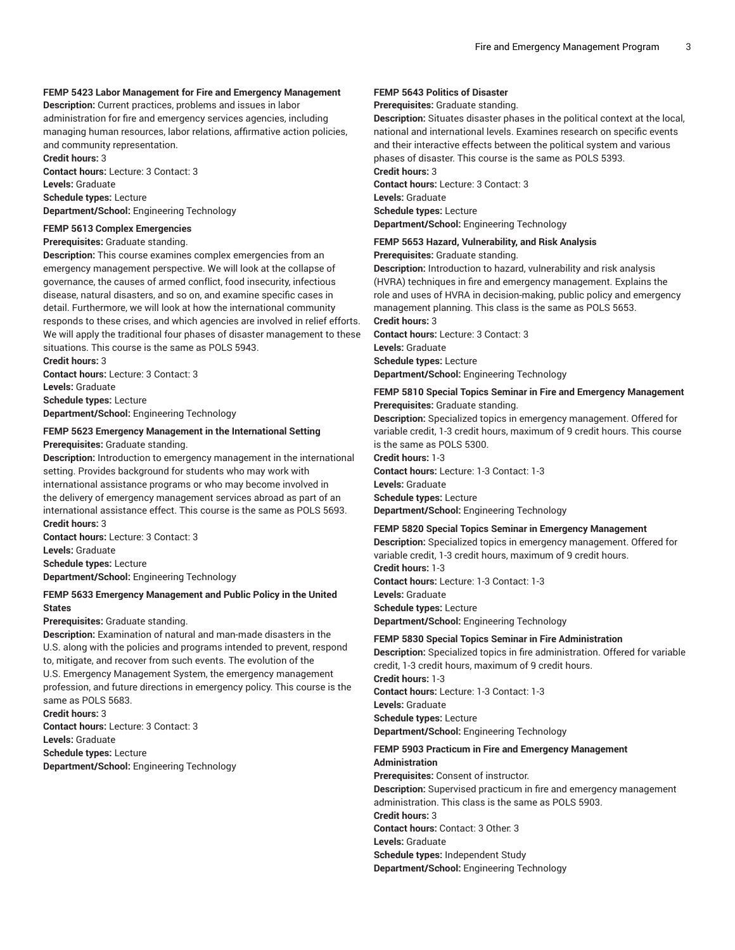# **FEMP 5423 Labor Management for Fire and Emergency Management**

**Description:** Current practices, problems and issues in labor administration for fire and emergency services agencies, including managing human resources, labor relations, affirmative action policies, and community representation.

**Credit hours:** 3 **Contact hours:** Lecture: 3 Contact: 3 **Levels:** Graduate **Schedule types:** Lecture **Department/School:** Engineering Technology

#### **FEMP 5613 Complex Emergencies**

#### **Prerequisites:** Graduate standing.

**Description:** This course examines complex emergencies from an emergency management perspective. We will look at the collapse of governance, the causes of armed conflict, food insecurity, infectious disease, natural disasters, and so on, and examine specific cases in detail. Furthermore, we will look at how the international community responds to these crises, and which agencies are involved in relief efforts. We will apply the traditional four phases of disaster management to these situations. This course is the same as POLS 5943.

**Credit hours:** 3 **Contact hours:** Lecture: 3 Contact: 3 **Levels:** Graduate **Schedule types:** Lecture

**Department/School:** Engineering Technology

# **FEMP 5623 Emergency Management in the International Setting**

**Prerequisites:** Graduate standing.

**Description:** Introduction to emergency management in the international setting. Provides background for students who may work with international assistance programs or who may become involved in the delivery of emergency management services abroad as part of an international assistance effect. This course is the same as POLS 5693. **Credit hours:** 3

**Contact hours:** Lecture: 3 Contact: 3

**Levels:** Graduate

**Schedule types:** Lecture

**Department/School:** Engineering Technology

#### **FEMP 5633 Emergency Management and Public Policy in the United States**

#### **Prerequisites:** Graduate standing.

**Description:** Examination of natural and man-made disasters in the U.S. along with the policies and programs intended to prevent, respond to, mitigate, and recover from such events. The evolution of the U.S. Emergency Management System, the emergency management profession, and future directions in emergency policy. This course is the same as POLS 5683.

**Credit hours:** 3

**Contact hours:** Lecture: 3 Contact: 3 **Levels:** Graduate **Schedule types:** Lecture **Department/School:** Engineering Technology

#### **FEMP 5643 Politics of Disaster**

#### **Prerequisites:** Graduate standing.

**Description:** Situates disaster phases in the political context at the local, national and international levels. Examines research on specific events and their interactive effects between the political system and various phases of disaster. This course is the same as POLS 5393. **Credit hours:** 3

**Contact hours:** Lecture: 3 Contact: 3

**Levels:** Graduate

**Schedule types:** Lecture

**Department/School:** Engineering Technology

#### **FEMP 5653 Hazard, Vulnerability, and Risk Analysis**

#### **Prerequisites:** Graduate standing.

**Description:** Introduction to hazard, vulnerability and risk analysis (HVRA) techniques in fire and emergency management. Explains the role and uses of HVRA in decision-making, public policy and emergency management planning. This class is the same as POLS 5653. **Credit hours:** 3

**Contact hours:** Lecture: 3 Contact: 3 **Levels:** Graduate **Schedule types:** Lecture **Department/School:** Engineering Technology

#### **FEMP 5810 Special Topics Seminar in Fire and Emergency Management Prerequisites:** Graduate standing.

**Description:** Specialized topics in emergency management. Offered for variable credit, 1-3 credit hours, maximum of 9 credit hours. This course is the same as POLS 5300.

**Credit hours:** 1-3

**Contact hours:** Lecture: 1-3 Contact: 1-3 **Levels:** Graduate **Schedule types:** Lecture **Department/School:** Engineering Technology

# **FEMP 5820 Special Topics Seminar in Emergency Management**

**Description:** Specialized topics in emergency management. Offered for variable credit, 1-3 credit hours, maximum of 9 credit hours.

**Credit hours:** 1-3 **Contact hours:** Lecture: 1-3 Contact: 1-3 **Levels:** Graduate **Schedule types:** Lecture **Department/School:** Engineering Technology

# **FEMP 5830 Special Topics Seminar in Fire Administration**

**Description:** Specialized topics in fire administration. Offered for variable credit, 1-3 credit hours, maximum of 9 credit hours. **Credit hours:** 1-3 **Contact hours:** Lecture: 1-3 Contact: 1-3 **Levels:** Graduate **Schedule types:** Lecture **Department/School:** Engineering Technology

#### **FEMP 5903 Practicum in Fire and Emergency Management Administration**

**Prerequisites:** Consent of instructor.

**Description:** Supervised practicum in fire and emergency management administration. This class is the same as POLS 5903. **Credit hours:** 3 **Contact hours:** Contact: 3 Other: 3 **Levels:** Graduate

**Schedule types:** Independent Study

**Department/School:** Engineering Technology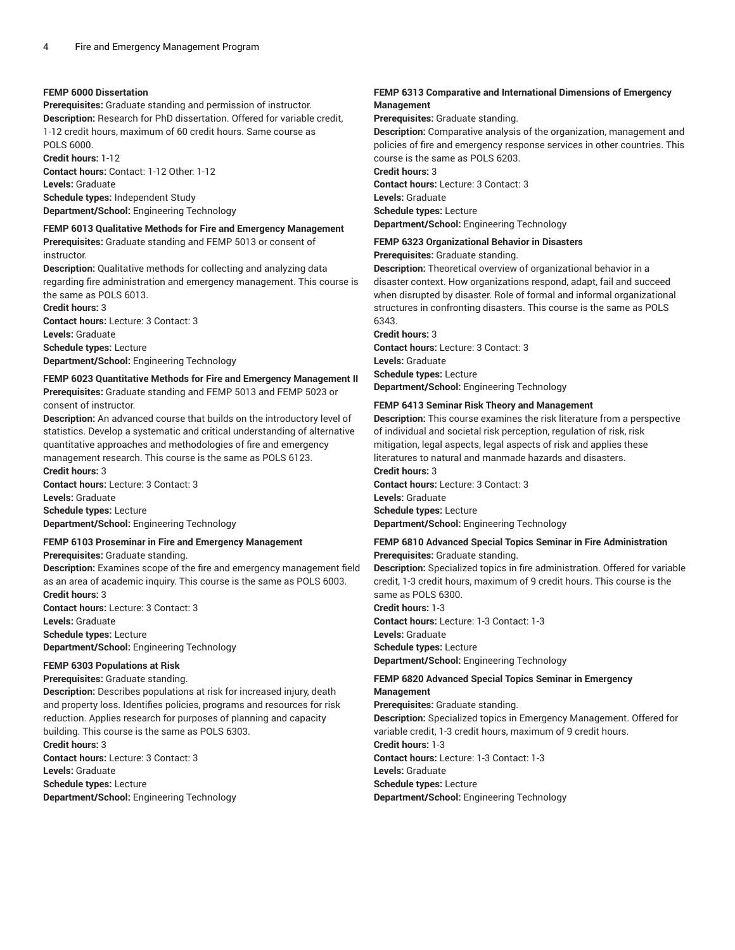# **FEMP 6000 Dissertation**

**Prerequisites:** Graduate standing and permission of instructor. **Description:** Research for PhD dissertation. Offered for variable credit, 1-12 credit hours, maximum of 60 credit hours. Same course as POLS 6000.

**Credit hours:** 1-12 **Contact hours:** Contact: 1-12 Other: 1-12 **Levels:** Graduate **Schedule types:** Independent Study **Department/School:** Engineering Technology

# **FEMP 6013 Qualitative Methods for Fire and Emergency Management**

**Prerequisites:** Graduate standing and FEMP 5013 or consent of **instructor** 

**Description:** Qualitative methods for collecting and analyzing data regarding fire administration and emergency management. This course is the same as POLS 6013.

**Credit hours:** 3 **Contact hours:** Lecture: 3 Contact: 3 **Levels:** Graduate **Schedule types:** Lecture **Department/School:** Engineering Technology

# **FEMP 6023 Quantitative Methods for Fire and Emergency Management II Prerequisites:** Graduate standing and FEMP 5013 and FEMP 5023 or

consent of instructor. **Description:** An advanced course that builds on the introductory level of statistics. Develop a systematic and critical understanding of alternative quantitative approaches and methodologies of fire and emergency

management research. This course is the same as POLS 6123.

**Credit hours:** 3

**Contact hours:** Lecture: 3 Contact: 3 **Levels:** Graduate **Schedule types:** Lecture **Department/School:** Engineering Technology

# **FEMP 6103 Proseminar in Fire and Emergency Management**

**Prerequisites:** Graduate standing.

**Description:** Examines scope of the fire and emergency management field as an area of academic inquiry. This course is the same as POLS 6003. **Credit hours:** 3

**Contact hours:** Lecture: 3 Contact: 3 **Levels:** Graduate **Schedule types:** Lecture **Department/School:** Engineering Technology

#### **FEMP 6303 Populations at Risk**

**Prerequisites:** Graduate standing.

**Description:** Describes populations at risk for increased injury, death and property loss. Identifies policies, programs and resources for risk reduction. Applies research for purposes of planning and capacity building. This course is the same as POLS 6303.

**Credit hours:** 3 **Contact hours:** Lecture: 3 Contact: 3

**Levels:** Graduate

**Schedule types:** Lecture

**Department/School:** Engineering Technology

# **FEMP 6313 Comparative and International Dimensions of Emergency Management**

**Prerequisites:** Graduate standing.

**Description:** Comparative analysis of the organization, management and policies of fire and emergency response services in other countries. This course is the same as POLS 6203.

**Credit hours:** 3

**Contact hours:** Lecture: 3 Contact: 3

**Levels:** Graduate

**Schedule types:** Lecture

**Department/School:** Engineering Technology

# **FEMP 6323 Organizational Behavior in Disasters**

**Prerequisites:** Graduate standing.

**Description:** Theoretical overview of organizational behavior in a disaster context. How organizations respond, adapt, fail and succeed when disrupted by disaster. Role of formal and informal organizational structures in confronting disasters. This course is the same as POLS 6343.

**Credit hours:** 3

**Contact hours:** Lecture: 3 Contact: 3 **Levels:** Graduate **Schedule types:** Lecture **Department/School:** Engineering Technology

# **FEMP 6413 Seminar Risk Theory and Management**

**Description:** This course examines the risk literature from a perspective of individual and societal risk perception, regulation of risk, risk mitigation, legal aspects, legal aspects of risk and applies these literatures to natural and manmade hazards and disasters.

**Credit hours:** 3

**Contact hours:** Lecture: 3 Contact: 3 **Levels:** Graduate **Schedule types:** Lecture **Department/School:** Engineering Technology

# **FEMP 6810 Advanced Special Topics Seminar in Fire Administration**

**Prerequisites:** Graduate standing.

**Description:** Specialized topics in fire administration. Offered for variable credit, 1-3 credit hours, maximum of 9 credit hours. This course is the same as POLS 6300.

**Credit hours:** 1-3

**Contact hours:** Lecture: 1-3 Contact: 1-3 **Levels:** Graduate **Schedule types:** Lecture **Department/School:** Engineering Technology

#### **FEMP 6820 Advanced Special Topics Seminar in Emergency Management**

**Prerequisites:** Graduate standing.

**Description:** Specialized topics in Emergency Management. Offered for variable credit, 1-3 credit hours, maximum of 9 credit hours. **Credit hours:** 1-3 **Contact hours:** Lecture: 1-3 Contact: 1-3 **Levels:** Graduate **Schedule types:** Lecture **Department/School:** Engineering Technology